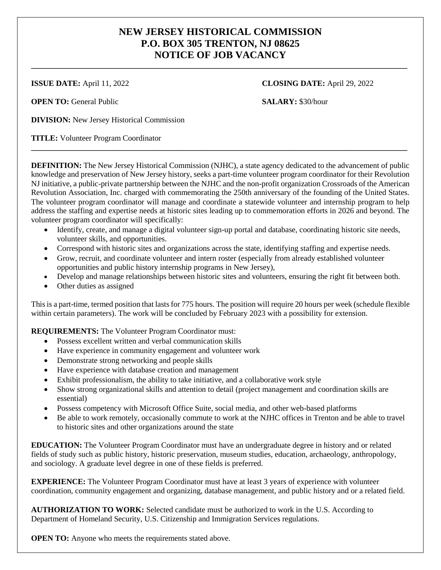## **NEW JERSEY HISTORICAL COMMISSION P.O. BOX 305 TRENTON, NJ 08625 NOTICE OF JOB VACANCY**

**\_\_\_\_\_\_\_\_\_\_\_\_\_\_\_\_\_\_\_\_\_\_\_\_\_\_\_\_\_\_\_\_\_\_\_\_\_\_\_\_\_\_\_\_\_\_\_\_\_\_\_\_\_\_\_\_\_\_\_\_\_\_\_\_\_\_\_\_\_\_\_\_\_\_\_\_\_\_\_\_\_\_\_\_\_\_\_\_\_\_\_\_\_\_\_**

**OPEN TO:** General Public **SALARY:** \$30/hour

**ISSUE DATE:** April 11, 2022 **CLOSING DATE:** April 29, 2022

**DIVISION:** New Jersey Historical Commission

**TITLE:** Volunteer Program Coordinator

**DEFINITION:** The New Jersey Historical Commission (NJHC), a state agency dedicated to the advancement of public knowledge and preservation of New Jersey history, seeks a part-time volunteer program coordinator for their Revolution NJ initiative, a public-private partnership between the NJHC and the non-profit organization Crossroads of the American Revolution Association, Inc. charged with commemorating the 250th anniversary of the founding of the United States. The volunteer program coordinator will manage and coordinate a statewide volunteer and internship program to help address the staffing and expertise needs at historic sites leading up to commemoration efforts in 2026 and beyond. The volunteer program coordinator will specifically:

**\_\_\_\_\_\_\_\_\_\_\_\_\_\_\_\_\_\_\_\_\_\_\_\_\_\_\_\_\_\_\_\_\_\_\_\_\_\_\_\_\_\_\_\_\_\_\_\_\_\_\_\_\_\_\_\_\_\_\_\_\_\_\_\_\_\_\_\_\_\_\_\_\_\_\_\_\_\_\_\_\_\_\_\_\_\_\_\_\_\_\_\_\_\_\_**

- Identify, create, and manage a digital volunteer sign-up portal and database, coordinating historic site needs, volunteer skills, and opportunities.
- Correspond with historic sites and organizations across the state, identifying staffing and expertise needs.
- Grow, recruit, and coordinate volunteer and intern roster (especially from already established volunteer opportunities and public history internship programs in New Jersey),
- Develop and manage relationships between historic sites and volunteers, ensuring the right fit between both.
- Other duties as assigned

This is a part-time, termed position that lasts for 775 hours. The position will require 20 hours per week (schedule flexible within certain parameters). The work will be concluded by February 2023 with a possibility for extension.

**REQUIREMENTS:** The Volunteer Program Coordinator must:

- Possess excellent written and verbal communication skills
- Have experience in community engagement and volunteer work
- Demonstrate strong networking and people skills
- Have experience with database creation and management
- Exhibit professionalism, the ability to take initiative, and a collaborative work style
- Show strong organizational skills and attention to detail (project management and coordination skills are essential)
- Possess competency with Microsoft Office Suite, social media, and other web-based platforms
- Be able to work remotely, occasionally commute to work at the NJHC offices in Trenton and be able to travel to historic sites and other organizations around the state

**EDUCATION:** The Volunteer Program Coordinator must have an undergraduate degree in history and or related fields of study such as public history, historic preservation, museum studies, education, archaeology, anthropology, and sociology. A graduate level degree in one of these fields is preferred.

**EXPERIENCE:** The Volunteer Program Coordinator must have at least 3 years of experience with volunteer coordination, community engagement and organizing, database management, and public history and or a related field.

**AUTHORIZATION TO WORK:** Selected candidate must be authorized to work in the U.S. According to Department of Homeland Security, U.S. Citizenship and Immigration Services regulations.

**OPEN TO:** Anyone who meets the requirements stated above.